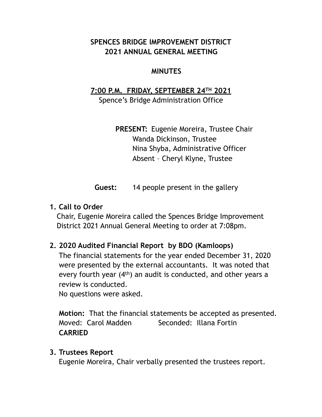## **SPENCES BRIDGE IMPROVEMENT DISTRICT 2021 ANNUAL GENERAL MEETING**

#### **MINUTES**

# **7:00 P.M. FRIDAY, SEPTEMBER 24TH 2021**

Spence's Bridge Administration Office

 **PRESENT:** Eugenie Moreira, Trustee Chair Wanda Dickinson, Trustee Nina Shyba, Administrative Officer Absent – Cheryl Klyne, Trustee

**Guest:** 14 people present in the gallery

#### **1. Call to Order**

Chair, Eugenie Moreira called the Spences Bridge Improvement District 2021 Annual General Meeting to order at 7:08pm.

# **2. 2020 Audited Financial Report by BDO (Kamloops)**

The financial statements for the year ended December 31, 2020 were presented by the external accountants. It was noted that every fourth year (4th) an audit is conducted, and other years a review is conducted.

No questions were asked.

**Motion:** That the financial statements be accepted as presented. Moved: Carol Madden Seconded: Illana Fortin **CARRIED**

#### **3. Trustees Report**

Eugenie Moreira, Chair verbally presented the trustees report.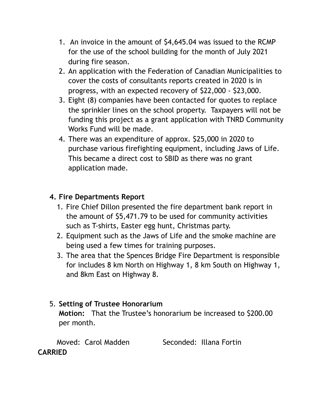- 1. An invoice in the amount of \$4,645.04 was issued to the RCMP for the use of the school building for the month of July 2021 during fire season.
- 2. An application with the Federation of Canadian Municipalities to cover the costs of consultants reports created in 2020 is in progress, with an expected recovery of \$22,000 - \$23,000.
- 3. Eight (8) companies have been contacted for quotes to replace the sprinkler lines on the school property. Taxpayers will not be funding this project as a grant application with TNRD Community Works Fund will be made.
- 4. There was an expenditure of approx. \$25,000 in 2020 to purchase various firefighting equipment, including Jaws of Life. This became a direct cost to SBID as there was no grant application made.

## **4. Fire Departments Report**

- 1. Fire Chief Dillon presented the fire department bank report in the amount of \$5,471.79 to be used for community activities such as T-shirts, Easter egg hunt, Christmas party.
- 2. Equipment such as the Jaws of Life and the smoke machine are being used a few times for training purposes.
- 3. The area that the Spences Bridge Fire Department is responsible for includes 8 km North on Highway 1, 8 km South on Highway 1, and 8km East on Highway 8.

# 5. **Setting of Trustee Honorarium**

**Motion:** That the Trustee's honorarium be increased to \$200.00 per month.

 Moved: Carol Madden Seconded: Illana Fortin **CARRIED**